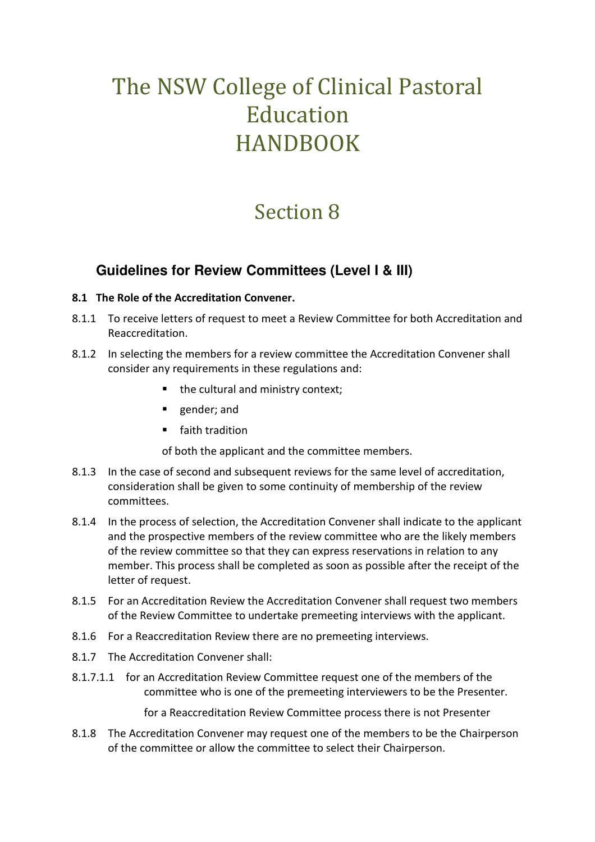# The NSW College of Clinical Pastoral Education HANDBOOK

## Section 8

### **Guidelines for Review Committees (Level I & III)**

#### **8.1 The Role of the Accreditation Convener.**

- 8.1.1 To receive letters of request to meet a Review Committee for both Accreditation and Reaccreditation.
- 8.1.2 In selecting the members for a review committee the Accreditation Convener shall consider any requirements in these regulations and:
	- the cultural and ministry context;
	- gender; and
	- faith tradition

of both the applicant and the committee members.

- 8.1.3 In the case of second and subsequent reviews for the same level of accreditation, consideration shall be given to some continuity of membership of the review committees.
- 8.1.4 In the process of selection, the Accreditation Convener shall indicate to the applicant and the prospective members of the review committee who are the likely members of the review committee so that they can express reservations in relation to any member. This process shall be completed as soon as possible after the receipt of the letter of request.
- 8.1.5 For an Accreditation Review the Accreditation Convener shall request two members of the Review Committee to undertake premeeting interviews with the applicant.
- 8.1.6 For a Reaccreditation Review there are no premeeting interviews.
- 8.1.7 The Accreditation Convener shall:
- 8.1.7.1.1 for an Accreditation Review Committee request one of the members of the committee who is one of the premeeting interviewers to be the Presenter.

for a Reaccreditation Review Committee process there is not Presenter

8.1.8 The Accreditation Convener may request one of the members to be the Chairperson of the committee or allow the committee to select their Chairperson.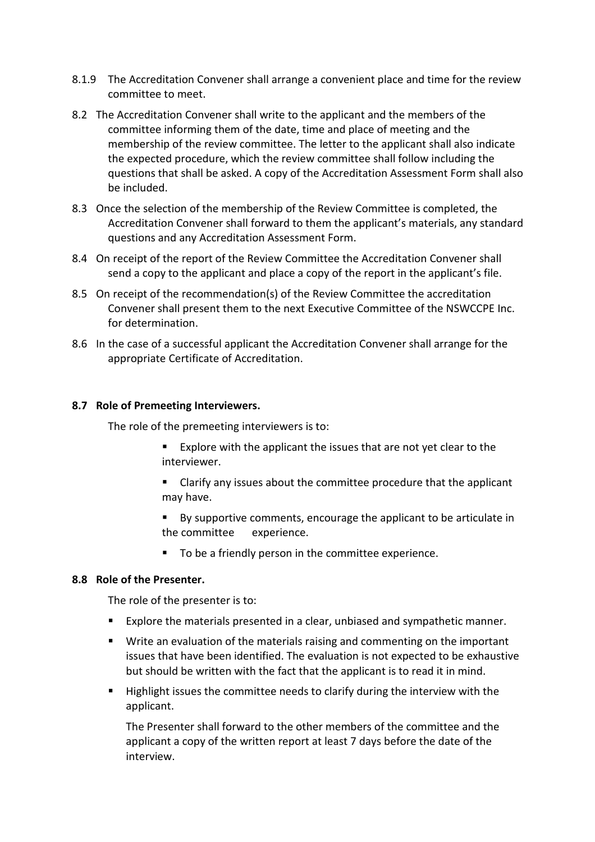- 8.1.9 The Accreditation Convener shall arrange a convenient place and time for the review committee to meet.
- 8.2 The Accreditation Convener shall write to the applicant and the members of the committee informing them of the date, time and place of meeting and the membership of the review committee. The letter to the applicant shall also indicate the expected procedure, which the review committee shall follow including the questions that shall be asked. A copy of the Accreditation Assessment Form shall also be included.
- 8.3 Once the selection of the membership of the Review Committee is completed, the Accreditation Convener shall forward to them the applicant's materials, any standard questions and any Accreditation Assessment Form.
- 8.4 On receipt of the report of the Review Committee the Accreditation Convener shall send a copy to the applicant and place a copy of the report in the applicant's file.
- 8.5 On receipt of the recommendation(s) of the Review Committee the accreditation Convener shall present them to the next Executive Committee of the NSWCCPE Inc. for determination.
- 8.6 In the case of a successful applicant the Accreditation Convener shall arrange for the appropriate Certificate of Accreditation.

#### **8.7 Role of Premeeting Interviewers.**

The role of the premeeting interviewers is to:

- Explore with the applicant the issues that are not yet clear to the interviewer.
- **EXTE:** Clarify any issues about the committee procedure that the applicant may have.
- By supportive comments, encourage the applicant to be articulate in the committee experience.
- To be a friendly person in the committee experience.

#### **8.8 Role of the Presenter.**

The role of the presenter is to:

- Explore the materials presented in a clear, unbiased and sympathetic manner.
- Write an evaluation of the materials raising and commenting on the important issues that have been identified. The evaluation is not expected to be exhaustive but should be written with the fact that the applicant is to read it in mind.
- **Highlight issues the committee needs to clarify during the interview with the** applicant.

The Presenter shall forward to the other members of the committee and the applicant a copy of the written report at least 7 days before the date of the interview.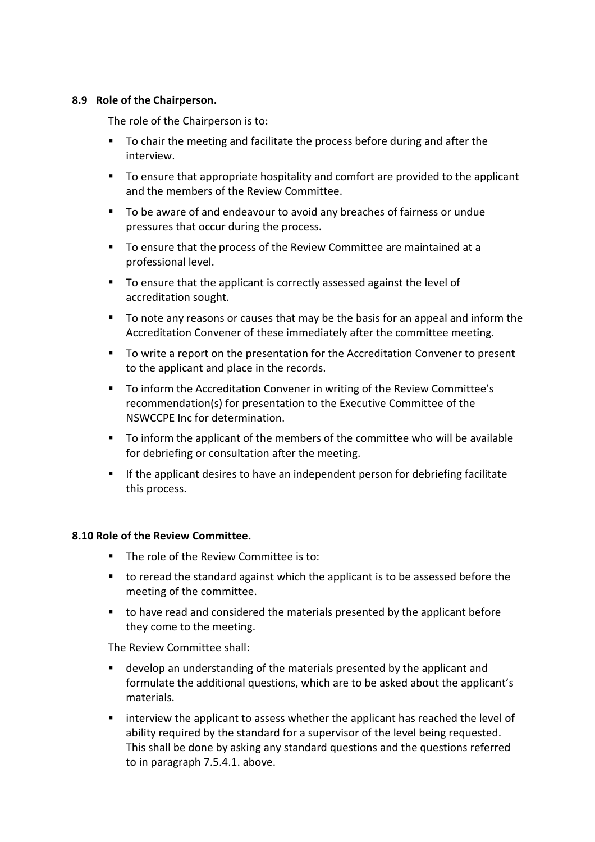#### **8.9 Role of the Chairperson.**

The role of the Chairperson is to:

- To chair the meeting and facilitate the process before during and after the interview.
- To ensure that appropriate hospitality and comfort are provided to the applicant and the members of the Review Committee.
- To be aware of and endeavour to avoid any breaches of fairness or undue pressures that occur during the process.
- To ensure that the process of the Review Committee are maintained at a professional level.
- To ensure that the applicant is correctly assessed against the level of accreditation sought.
- To note any reasons or causes that may be the basis for an appeal and inform the Accreditation Convener of these immediately after the committee meeting.
- To write a report on the presentation for the Accreditation Convener to present to the applicant and place in the records.
- To inform the Accreditation Convener in writing of the Review Committee's recommendation(s) for presentation to the Executive Committee of the NSWCCPE Inc for determination.
- To inform the applicant of the members of the committee who will be available for debriefing or consultation after the meeting.
- If the applicant desires to have an independent person for debriefing facilitate this process.

#### **8.10 Role of the Review Committee.**

- The role of the Review Committee is to:
- to reread the standard against which the applicant is to be assessed before the meeting of the committee.
- to have read and considered the materials presented by the applicant before they come to the meeting.

The Review Committee shall:

- develop an understanding of the materials presented by the applicant and formulate the additional questions, which are to be asked about the applicant's materials.
- interview the applicant to assess whether the applicant has reached the level of ability required by the standard for a supervisor of the level being requested. This shall be done by asking any standard questions and the questions referred to in paragraph 7.5.4.1. above.